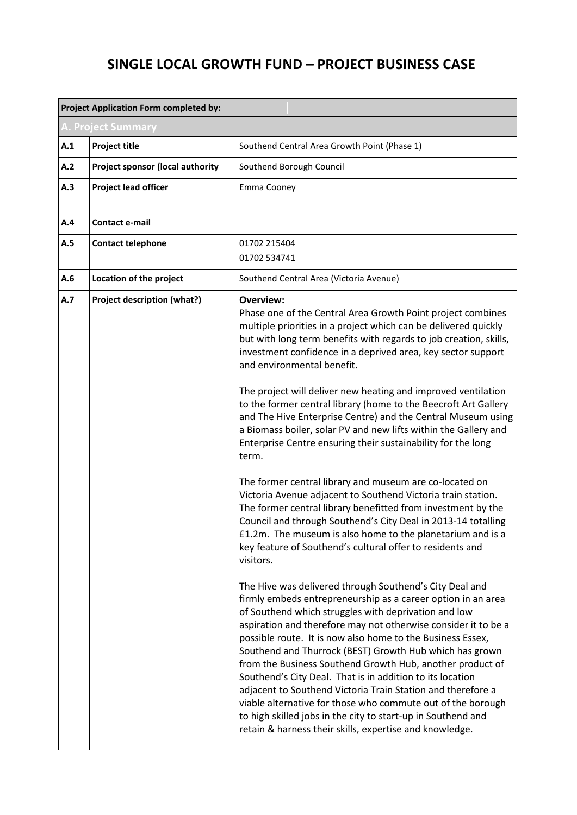## **SINGLE LOCAL GROWTH FUND – PROJECT BUSINESS CASE**

|                    | <b>Project Application Form completed by:</b> |                                                                                                                                                                                                                                                                                                                                                                                                                                                                                                                                                                                                                                                                                                                                                                                                                                                                                                                                                                                                                                                                                                                                                                                                                                                                                                                                                                                                                                                                                                                                                                                                                                                                                                                                                                                                                                                                                                                |  |
|--------------------|-----------------------------------------------|----------------------------------------------------------------------------------------------------------------------------------------------------------------------------------------------------------------------------------------------------------------------------------------------------------------------------------------------------------------------------------------------------------------------------------------------------------------------------------------------------------------------------------------------------------------------------------------------------------------------------------------------------------------------------------------------------------------------------------------------------------------------------------------------------------------------------------------------------------------------------------------------------------------------------------------------------------------------------------------------------------------------------------------------------------------------------------------------------------------------------------------------------------------------------------------------------------------------------------------------------------------------------------------------------------------------------------------------------------------------------------------------------------------------------------------------------------------------------------------------------------------------------------------------------------------------------------------------------------------------------------------------------------------------------------------------------------------------------------------------------------------------------------------------------------------------------------------------------------------------------------------------------------------|--|
| A. Project Summary |                                               |                                                                                                                                                                                                                                                                                                                                                                                                                                                                                                                                                                                                                                                                                                                                                                                                                                                                                                                                                                                                                                                                                                                                                                                                                                                                                                                                                                                                                                                                                                                                                                                                                                                                                                                                                                                                                                                                                                                |  |
| A.1                | <b>Project title</b>                          | Southend Central Area Growth Point (Phase 1)                                                                                                                                                                                                                                                                                                                                                                                                                                                                                                                                                                                                                                                                                                                                                                                                                                                                                                                                                                                                                                                                                                                                                                                                                                                                                                                                                                                                                                                                                                                                                                                                                                                                                                                                                                                                                                                                   |  |
| A.2                | <b>Project sponsor (local authority</b>       | Southend Borough Council                                                                                                                                                                                                                                                                                                                                                                                                                                                                                                                                                                                                                                                                                                                                                                                                                                                                                                                                                                                                                                                                                                                                                                                                                                                                                                                                                                                                                                                                                                                                                                                                                                                                                                                                                                                                                                                                                       |  |
| A.3                | <b>Project lead officer</b>                   | Emma Cooney                                                                                                                                                                                                                                                                                                                                                                                                                                                                                                                                                                                                                                                                                                                                                                                                                                                                                                                                                                                                                                                                                                                                                                                                                                                                                                                                                                                                                                                                                                                                                                                                                                                                                                                                                                                                                                                                                                    |  |
| A.4                | <b>Contact e-mail</b>                         |                                                                                                                                                                                                                                                                                                                                                                                                                                                                                                                                                                                                                                                                                                                                                                                                                                                                                                                                                                                                                                                                                                                                                                                                                                                                                                                                                                                                                                                                                                                                                                                                                                                                                                                                                                                                                                                                                                                |  |
| A.5                | <b>Contact telephone</b>                      |                                                                                                                                                                                                                                                                                                                                                                                                                                                                                                                                                                                                                                                                                                                                                                                                                                                                                                                                                                                                                                                                                                                                                                                                                                                                                                                                                                                                                                                                                                                                                                                                                                                                                                                                                                                                                                                                                                                |  |
| A.6                | Location of the project                       |                                                                                                                                                                                                                                                                                                                                                                                                                                                                                                                                                                                                                                                                                                                                                                                                                                                                                                                                                                                                                                                                                                                                                                                                                                                                                                                                                                                                                                                                                                                                                                                                                                                                                                                                                                                                                                                                                                                |  |
| A.7                | Project description (what?)                   | 01702 215404<br>01702 534741<br>Southend Central Area (Victoria Avenue)<br>Overview:<br>Phase one of the Central Area Growth Point project combines<br>multiple priorities in a project which can be delivered quickly<br>but with long term benefits with regards to job creation, skills,<br>investment confidence in a deprived area, key sector support<br>and environmental benefit.<br>The project will deliver new heating and improved ventilation<br>to the former central library (home to the Beecroft Art Gallery<br>and The Hive Enterprise Centre) and the Central Museum using<br>a Biomass boiler, solar PV and new lifts within the Gallery and<br>Enterprise Centre ensuring their sustainability for the long<br>term.<br>The former central library and museum are co-located on<br>Victoria Avenue adjacent to Southend Victoria train station.<br>The former central library benefitted from investment by the<br>Council and through Southend's City Deal in 2013-14 totalling<br>£1.2m. The museum is also home to the planetarium and is a<br>key feature of Southend's cultural offer to residents and<br>visitors.<br>The Hive was delivered through Southend's City Deal and<br>firmly embeds entrepreneurship as a career option in an area<br>of Southend which struggles with deprivation and low<br>aspiration and therefore may not otherwise consider it to be a<br>possible route. It is now also home to the Business Essex,<br>Southend and Thurrock (BEST) Growth Hub which has grown<br>from the Business Southend Growth Hub, another product of<br>Southend's City Deal. That is in addition to its location<br>adjacent to Southend Victoria Train Station and therefore a<br>viable alternative for those who commute out of the borough<br>to high skilled jobs in the city to start-up in Southend and<br>retain & harness their skills, expertise and knowledge. |  |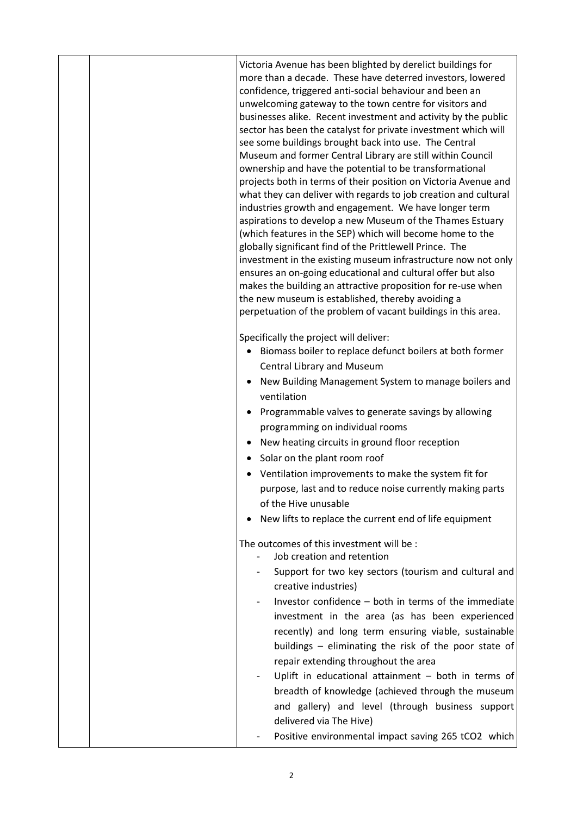|  | Victoria Avenue has been blighted by derelict buildings for<br>more than a decade. These have deterred investors, lowered<br>confidence, triggered anti-social behaviour and been an<br>unwelcoming gateway to the town centre for visitors and<br>businesses alike. Recent investment and activity by the public<br>sector has been the catalyst for private investment which will<br>see some buildings brought back into use. The Central<br>Museum and former Central Library are still within Council<br>ownership and have the potential to be transformational<br>projects both in terms of their position on Victoria Avenue and<br>what they can deliver with regards to job creation and cultural<br>industries growth and engagement. We have longer term<br>aspirations to develop a new Museum of the Thames Estuary<br>(which features in the SEP) which will become home to the<br>globally significant find of the Prittlewell Prince. The<br>investment in the existing museum infrastructure now not only<br>ensures an on-going educational and cultural offer but also<br>makes the building an attractive proposition for re-use when<br>the new museum is established, thereby avoiding a<br>perpetuation of the problem of vacant buildings in this area. |
|--|----------------------------------------------------------------------------------------------------------------------------------------------------------------------------------------------------------------------------------------------------------------------------------------------------------------------------------------------------------------------------------------------------------------------------------------------------------------------------------------------------------------------------------------------------------------------------------------------------------------------------------------------------------------------------------------------------------------------------------------------------------------------------------------------------------------------------------------------------------------------------------------------------------------------------------------------------------------------------------------------------------------------------------------------------------------------------------------------------------------------------------------------------------------------------------------------------------------------------------------------------------------------------------|
|  | Specifically the project will deliver:<br>Biomass boiler to replace defunct boilers at both former<br>Central Library and Museum                                                                                                                                                                                                                                                                                                                                                                                                                                                                                                                                                                                                                                                                                                                                                                                                                                                                                                                                                                                                                                                                                                                                                 |
|  | New Building Management System to manage boilers and<br>ventilation                                                                                                                                                                                                                                                                                                                                                                                                                                                                                                                                                                                                                                                                                                                                                                                                                                                                                                                                                                                                                                                                                                                                                                                                              |
|  | Programmable valves to generate savings by allowing                                                                                                                                                                                                                                                                                                                                                                                                                                                                                                                                                                                                                                                                                                                                                                                                                                                                                                                                                                                                                                                                                                                                                                                                                              |
|  | programming on individual rooms                                                                                                                                                                                                                                                                                                                                                                                                                                                                                                                                                                                                                                                                                                                                                                                                                                                                                                                                                                                                                                                                                                                                                                                                                                                  |
|  | New heating circuits in ground floor reception                                                                                                                                                                                                                                                                                                                                                                                                                                                                                                                                                                                                                                                                                                                                                                                                                                                                                                                                                                                                                                                                                                                                                                                                                                   |
|  | Solar on the plant room roof                                                                                                                                                                                                                                                                                                                                                                                                                                                                                                                                                                                                                                                                                                                                                                                                                                                                                                                                                                                                                                                                                                                                                                                                                                                     |
|  | Ventilation improvements to make the system fit for                                                                                                                                                                                                                                                                                                                                                                                                                                                                                                                                                                                                                                                                                                                                                                                                                                                                                                                                                                                                                                                                                                                                                                                                                              |
|  | purpose, last and to reduce noise currently making parts                                                                                                                                                                                                                                                                                                                                                                                                                                                                                                                                                                                                                                                                                                                                                                                                                                                                                                                                                                                                                                                                                                                                                                                                                         |
|  | of the Hive unusable                                                                                                                                                                                                                                                                                                                                                                                                                                                                                                                                                                                                                                                                                                                                                                                                                                                                                                                                                                                                                                                                                                                                                                                                                                                             |
|  | New lifts to replace the current end of life equipment                                                                                                                                                                                                                                                                                                                                                                                                                                                                                                                                                                                                                                                                                                                                                                                                                                                                                                                                                                                                                                                                                                                                                                                                                           |
|  | The outcomes of this investment will be :                                                                                                                                                                                                                                                                                                                                                                                                                                                                                                                                                                                                                                                                                                                                                                                                                                                                                                                                                                                                                                                                                                                                                                                                                                        |
|  | Job creation and retention                                                                                                                                                                                                                                                                                                                                                                                                                                                                                                                                                                                                                                                                                                                                                                                                                                                                                                                                                                                                                                                                                                                                                                                                                                                       |
|  | Support for two key sectors (tourism and cultural and<br>creative industries)                                                                                                                                                                                                                                                                                                                                                                                                                                                                                                                                                                                                                                                                                                                                                                                                                                                                                                                                                                                                                                                                                                                                                                                                    |
|  | Investor confidence - both in terms of the immediate                                                                                                                                                                                                                                                                                                                                                                                                                                                                                                                                                                                                                                                                                                                                                                                                                                                                                                                                                                                                                                                                                                                                                                                                                             |
|  | investment in the area (as has been experienced                                                                                                                                                                                                                                                                                                                                                                                                                                                                                                                                                                                                                                                                                                                                                                                                                                                                                                                                                                                                                                                                                                                                                                                                                                  |
|  | recently) and long term ensuring viable, sustainable                                                                                                                                                                                                                                                                                                                                                                                                                                                                                                                                                                                                                                                                                                                                                                                                                                                                                                                                                                                                                                                                                                                                                                                                                             |
|  | buildings - eliminating the risk of the poor state of                                                                                                                                                                                                                                                                                                                                                                                                                                                                                                                                                                                                                                                                                                                                                                                                                                                                                                                                                                                                                                                                                                                                                                                                                            |
|  | repair extending throughout the area                                                                                                                                                                                                                                                                                                                                                                                                                                                                                                                                                                                                                                                                                                                                                                                                                                                                                                                                                                                                                                                                                                                                                                                                                                             |
|  | Uplift in educational attainment $-$ both in terms of                                                                                                                                                                                                                                                                                                                                                                                                                                                                                                                                                                                                                                                                                                                                                                                                                                                                                                                                                                                                                                                                                                                                                                                                                            |
|  | breadth of knowledge (achieved through the museum                                                                                                                                                                                                                                                                                                                                                                                                                                                                                                                                                                                                                                                                                                                                                                                                                                                                                                                                                                                                                                                                                                                                                                                                                                |
|  | and gallery) and level (through business support                                                                                                                                                                                                                                                                                                                                                                                                                                                                                                                                                                                                                                                                                                                                                                                                                                                                                                                                                                                                                                                                                                                                                                                                                                 |
|  | delivered via The Hive)                                                                                                                                                                                                                                                                                                                                                                                                                                                                                                                                                                                                                                                                                                                                                                                                                                                                                                                                                                                                                                                                                                                                                                                                                                                          |
|  | Positive environmental impact saving 265 tCO2 which                                                                                                                                                                                                                                                                                                                                                                                                                                                                                                                                                                                                                                                                                                                                                                                                                                                                                                                                                                                                                                                                                                                                                                                                                              |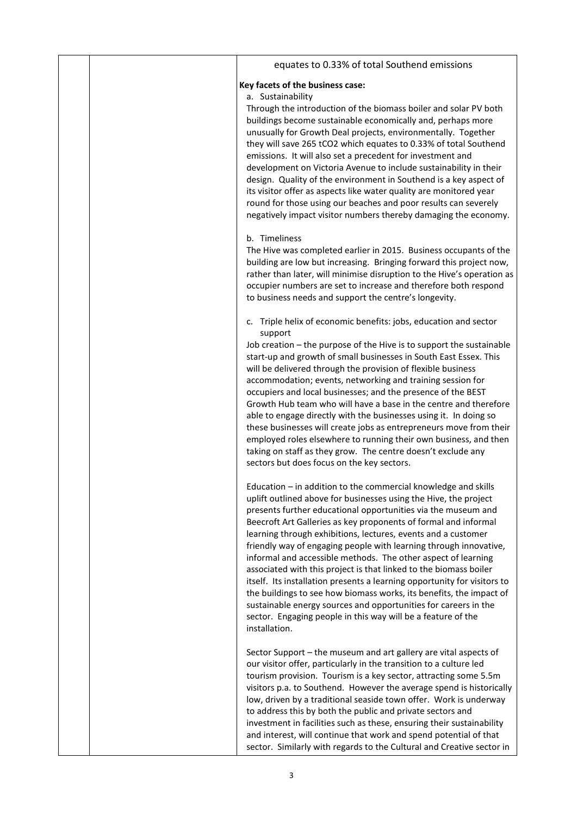|  | equates to 0.33% of total Southend emissions                                                                                                                                                                                                                                                                                                                                                                                                                                                                                                                                                                                                                                                                                                                                                                                                              |
|--|-----------------------------------------------------------------------------------------------------------------------------------------------------------------------------------------------------------------------------------------------------------------------------------------------------------------------------------------------------------------------------------------------------------------------------------------------------------------------------------------------------------------------------------------------------------------------------------------------------------------------------------------------------------------------------------------------------------------------------------------------------------------------------------------------------------------------------------------------------------|
|  | Key facets of the business case:<br>a. Sustainability                                                                                                                                                                                                                                                                                                                                                                                                                                                                                                                                                                                                                                                                                                                                                                                                     |
|  | Through the introduction of the biomass boiler and solar PV both<br>buildings become sustainable economically and, perhaps more<br>unusually for Growth Deal projects, environmentally. Together<br>they will save 265 tCO2 which equates to 0.33% of total Southend<br>emissions. It will also set a precedent for investment and<br>development on Victoria Avenue to include sustainability in their<br>design. Quality of the environment in Southend is a key aspect of<br>its visitor offer as aspects like water quality are monitored year<br>round for those using our beaches and poor results can severely<br>negatively impact visitor numbers thereby damaging the economy.                                                                                                                                                                  |
|  | b. Timeliness<br>The Hive was completed earlier in 2015. Business occupants of the<br>building are low but increasing. Bringing forward this project now,<br>rather than later, will minimise disruption to the Hive's operation as<br>occupier numbers are set to increase and therefore both respond<br>to business needs and support the centre's longevity.                                                                                                                                                                                                                                                                                                                                                                                                                                                                                           |
|  | c. Triple helix of economic benefits: jobs, education and sector                                                                                                                                                                                                                                                                                                                                                                                                                                                                                                                                                                                                                                                                                                                                                                                          |
|  | support<br>Job creation - the purpose of the Hive is to support the sustainable<br>start-up and growth of small businesses in South East Essex. This<br>will be delivered through the provision of flexible business<br>accommodation; events, networking and training session for<br>occupiers and local businesses; and the presence of the BEST<br>Growth Hub team who will have a base in the centre and therefore<br>able to engage directly with the businesses using it. In doing so<br>these businesses will create jobs as entrepreneurs move from their<br>employed roles elsewhere to running their own business, and then<br>taking on staff as they grow. The centre doesn't exclude any<br>sectors but does focus on the key sectors.                                                                                                       |
|  | Education - in addition to the commercial knowledge and skills<br>uplift outlined above for businesses using the Hive, the project<br>presents further educational opportunities via the museum and<br>Beecroft Art Galleries as key proponents of formal and informal<br>learning through exhibitions, lectures, events and a customer<br>friendly way of engaging people with learning through innovative,<br>informal and accessible methods. The other aspect of learning<br>associated with this project is that linked to the biomass boiler<br>itself. Its installation presents a learning opportunity for visitors to<br>the buildings to see how biomass works, its benefits, the impact of<br>sustainable energy sources and opportunities for careers in the<br>sector. Engaging people in this way will be a feature of the<br>installation. |
|  | Sector Support - the museum and art gallery are vital aspects of<br>our visitor offer, particularly in the transition to a culture led<br>tourism provision. Tourism is a key sector, attracting some 5.5m<br>visitors p.a. to Southend. However the average spend is historically<br>low, driven by a traditional seaside town offer. Work is underway<br>to address this by both the public and private sectors and<br>investment in facilities such as these, ensuring their sustainability<br>and interest, will continue that work and spend potential of that<br>sector. Similarly with regards to the Cultural and Creative sector in                                                                                                                                                                                                              |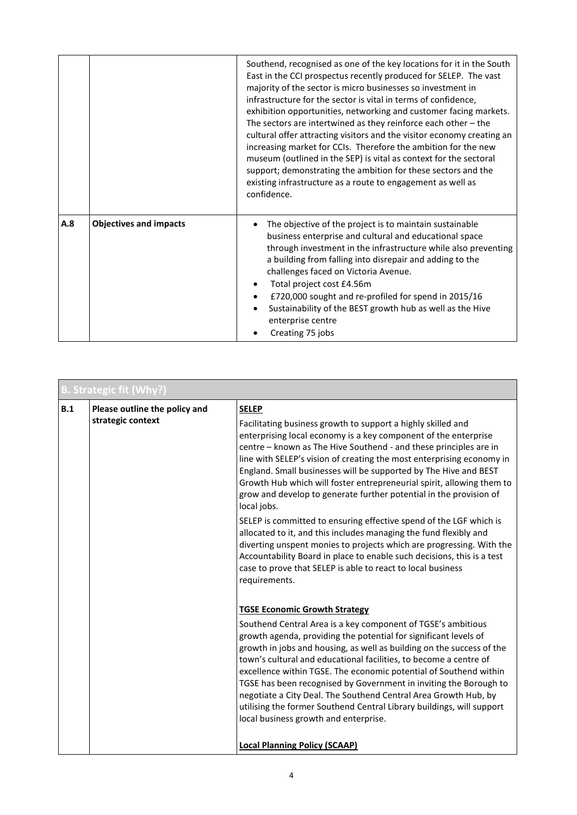|     |                               | Southend, recognised as one of the key locations for it in the South<br>East in the CCI prospectus recently produced for SELEP. The vast<br>majority of the sector is micro businesses so investment in<br>infrastructure for the sector is vital in terms of confidence,<br>exhibition opportunities, networking and customer facing markets.<br>The sectors are intertwined as they reinforce each other $-$ the<br>cultural offer attracting visitors and the visitor economy creating an<br>increasing market for CCIs. Therefore the ambition for the new<br>museum (outlined in the SEP) is vital as context for the sectoral<br>support; demonstrating the ambition for these sectors and the<br>existing infrastructure as a route to engagement as well as<br>confidence. |  |
|-----|-------------------------------|------------------------------------------------------------------------------------------------------------------------------------------------------------------------------------------------------------------------------------------------------------------------------------------------------------------------------------------------------------------------------------------------------------------------------------------------------------------------------------------------------------------------------------------------------------------------------------------------------------------------------------------------------------------------------------------------------------------------------------------------------------------------------------|--|
| A.8 | <b>Objectives and impacts</b> | The objective of the project is to maintain sustainable<br>business enterprise and cultural and educational space<br>through investment in the infrastructure while also preventing<br>a building from falling into disrepair and adding to the<br>challenges faced on Victoria Avenue.<br>Total project cost £4.56m<br>£720,000 sought and re-profiled for spend in 2015/16<br>Sustainability of the BEST growth hub as well as the Hive<br>enterprise centre<br>Creating 75 jobs                                                                                                                                                                                                                                                                                                 |  |

|     | <b>B. Strategic fit (Why?)</b>                     |                                                                                                                                                                                                                                                                                                                                                                                                                                                                                                                                                                                                                                                       |  |
|-----|----------------------------------------------------|-------------------------------------------------------------------------------------------------------------------------------------------------------------------------------------------------------------------------------------------------------------------------------------------------------------------------------------------------------------------------------------------------------------------------------------------------------------------------------------------------------------------------------------------------------------------------------------------------------------------------------------------------------|--|
| B.1 | Please outline the policy and<br>strategic context | <b>SELEP</b><br>Facilitating business growth to support a highly skilled and<br>enterprising local economy is a key component of the enterprise<br>centre - known as The Hive Southend - and these principles are in<br>line with SELEP's vision of creating the most enterprising economy in<br>England. Small businesses will be supported by The Hive and BEST<br>Growth Hub which will foster entrepreneurial spirit, allowing them to<br>grow and develop to generate further potential in the provision of<br>local jobs.                                                                                                                       |  |
|     |                                                    | SELEP is committed to ensuring effective spend of the LGF which is<br>allocated to it, and this includes managing the fund flexibly and<br>diverting unspent monies to projects which are progressing. With the<br>Accountability Board in place to enable such decisions, this is a test<br>case to prove that SELEP is able to react to local business<br>requirements.                                                                                                                                                                                                                                                                             |  |
|     |                                                    | <b>TGSE Economic Growth Strategy</b><br>Southend Central Area is a key component of TGSE's ambitious<br>growth agenda, providing the potential for significant levels of<br>growth in jobs and housing, as well as building on the success of the<br>town's cultural and educational facilities, to become a centre of<br>excellence within TGSE. The economic potential of Southend within<br>TGSE has been recognised by Government in inviting the Borough to<br>negotiate a City Deal. The Southend Central Area Growth Hub, by<br>utilising the former Southend Central Library buildings, will support<br>local business growth and enterprise. |  |
|     |                                                    | <b>Local Planning Policy (SCAAP)</b>                                                                                                                                                                                                                                                                                                                                                                                                                                                                                                                                                                                                                  |  |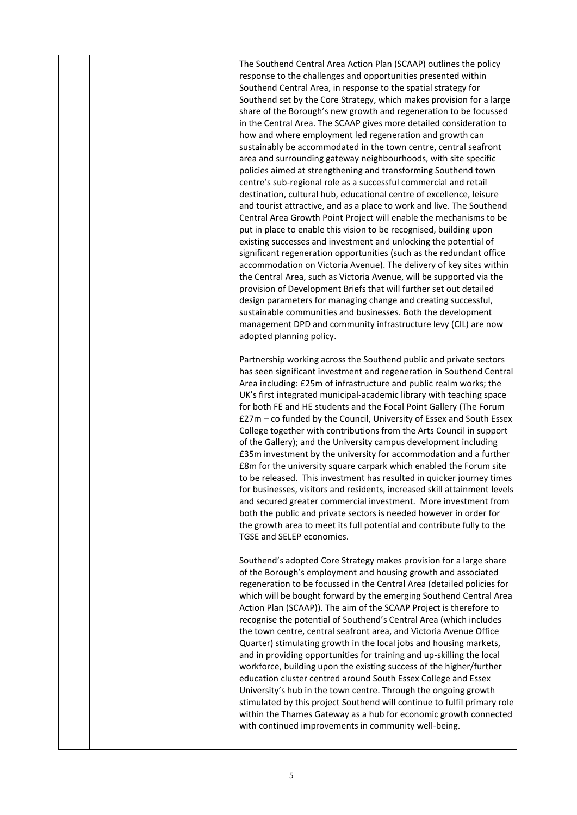The Southend Central Area Action Plan (SCAAP) outlines the policy response to the challenges and opportunities presented within Southend Central Area, in response to the spatial strategy for Southend set by the Core Strategy, which makes provision for a large share of the Borough's new growth and regeneration to be focussed in the Central Area. The SCAAP gives more detailed consideration to how and where employment led regeneration and growth can sustainably be accommodated in the town centre, central seafront area and surrounding gateway neighbourhoods, with site specific policies aimed at strengthening and transforming Southend town centre's sub-regional role as a successful commercial and retail destination, cultural hub, educational centre of excellence, leisure and tourist attractive, and as a place to work and live. The Southend Central Area Growth Point Project will enable the mechanisms to be put in place to enable this vision to be recognised, building upon existing successes and investment and unlocking the potential of significant regeneration opportunities (such as the redundant office accommodation on Victoria Avenue). The delivery of key sites within the Central Area, such as Victoria Avenue, will be supported via the provision of Development Briefs that will further set out detailed design parameters for managing change and creating successful, sustainable communities and businesses. Both the development management DPD and community infrastructure levy (CIL) are now adopted planning policy.

Partnership working across the Southend public and private sectors has seen significant investment and regeneration in Southend Central Area including: £25m of infrastructure and public realm works; the UK's first integrated municipal-academic library with teaching space for both FE and HE students and the Focal Point Gallery (The Forum £27m – co funded by the Council, University of Essex and South Essex College together with contributions from the Arts Council in support of the Gallery); and the University campus development including £35m investment by the university for accommodation and a further £8m for the university square carpark which enabled the Forum site to be released. This investment has resulted in quicker journey times for businesses, visitors and residents, increased skill attainment levels and secured greater commercial investment. More investment from both the public and private sectors is needed however in order for the growth area to meet its full potential and contribute fully to the TGSE and SELEP economies.

Southend's adopted Core Strategy makes provision for a large share of the Borough's employment and housing growth and associated regeneration to be focussed in the Central Area (detailed policies for which will be bought forward by the emerging Southend Central Area Action Plan (SCAAP)). The aim of the SCAAP Project is therefore to recognise the potential of Southend's Central Area (which includes the town centre, central seafront area, and Victoria Avenue Office Quarter) stimulating growth in the local jobs and housing markets, and in providing opportunities for training and up-skilling the local workforce, building upon the existing success of the higher/further education cluster centred around South Essex College and Essex University's hub in the town centre. Through the ongoing growth stimulated by this project Southend will continue to fulfil primary role within the Thames Gateway as a hub for economic growth connected with continued improvements in community well-being.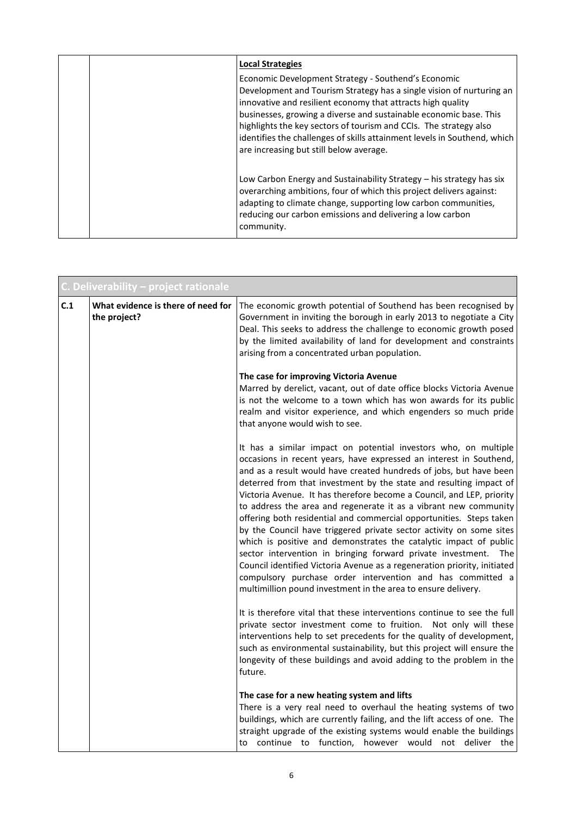| <b>Local Strategies</b>                                                                                                                                                                                                                                                                                                                                                                                                                                     |
|-------------------------------------------------------------------------------------------------------------------------------------------------------------------------------------------------------------------------------------------------------------------------------------------------------------------------------------------------------------------------------------------------------------------------------------------------------------|
| Economic Development Strategy - Southend's Economic<br>Development and Tourism Strategy has a single vision of nurturing an<br>innovative and resilient economy that attracts high quality<br>businesses, growing a diverse and sustainable economic base. This<br>highlights the key sectors of tourism and CCIs. The strategy also<br>identifies the challenges of skills attainment levels in Southend, which<br>are increasing but still below average. |
| Low Carbon Energy and Sustainability Strategy – his strategy has six<br>overarching ambitions, four of which this project delivers against:<br>adapting to climate change, supporting low carbon communities,<br>reducing our carbon emissions and delivering a low carbon<br>community.                                                                                                                                                                    |

|     | C. Deliverability - project rationale              |                                                                                                                                                                                                                                                                                                                                                                                                                                                                                                                                                                                                                                                                                                                                                                                                                                                                                                                                 |  |
|-----|----------------------------------------------------|---------------------------------------------------------------------------------------------------------------------------------------------------------------------------------------------------------------------------------------------------------------------------------------------------------------------------------------------------------------------------------------------------------------------------------------------------------------------------------------------------------------------------------------------------------------------------------------------------------------------------------------------------------------------------------------------------------------------------------------------------------------------------------------------------------------------------------------------------------------------------------------------------------------------------------|--|
| C.1 | What evidence is there of need for<br>the project? | The economic growth potential of Southend has been recognised by<br>Government in inviting the borough in early 2013 to negotiate a City<br>Deal. This seeks to address the challenge to economic growth posed<br>by the limited availability of land for development and constraints<br>arising from a concentrated urban population.                                                                                                                                                                                                                                                                                                                                                                                                                                                                                                                                                                                          |  |
|     |                                                    | The case for improving Victoria Avenue<br>Marred by derelict, vacant, out of date office blocks Victoria Avenue<br>is not the welcome to a town which has won awards for its public<br>realm and visitor experience, and which engenders so much pride<br>that anyone would wish to see.                                                                                                                                                                                                                                                                                                                                                                                                                                                                                                                                                                                                                                        |  |
|     |                                                    | It has a similar impact on potential investors who, on multiple<br>occasions in recent years, have expressed an interest in Southend,<br>and as a result would have created hundreds of jobs, but have been<br>deterred from that investment by the state and resulting impact of<br>Victoria Avenue. It has therefore become a Council, and LEP, priority<br>to address the area and regenerate it as a vibrant new community<br>offering both residential and commercial opportunities. Steps taken<br>by the Council have triggered private sector activity on some sites<br>which is positive and demonstrates the catalytic impact of public<br>sector intervention in bringing forward private investment. The<br>Council identified Victoria Avenue as a regeneration priority, initiated<br>compulsory purchase order intervention and has committed a<br>multimillion pound investment in the area to ensure delivery. |  |
|     |                                                    | It is therefore vital that these interventions continue to see the full<br>private sector investment come to fruition. Not only will these<br>interventions help to set precedents for the quality of development,<br>such as environmental sustainability, but this project will ensure the<br>longevity of these buildings and avoid adding to the problem in the<br>future.                                                                                                                                                                                                                                                                                                                                                                                                                                                                                                                                                  |  |
|     |                                                    | The case for a new heating system and lifts<br>There is a very real need to overhaul the heating systems of two<br>buildings, which are currently failing, and the lift access of one. The<br>straight upgrade of the existing systems would enable the buildings<br>to continue to function, however would not deliver the                                                                                                                                                                                                                                                                                                                                                                                                                                                                                                                                                                                                     |  |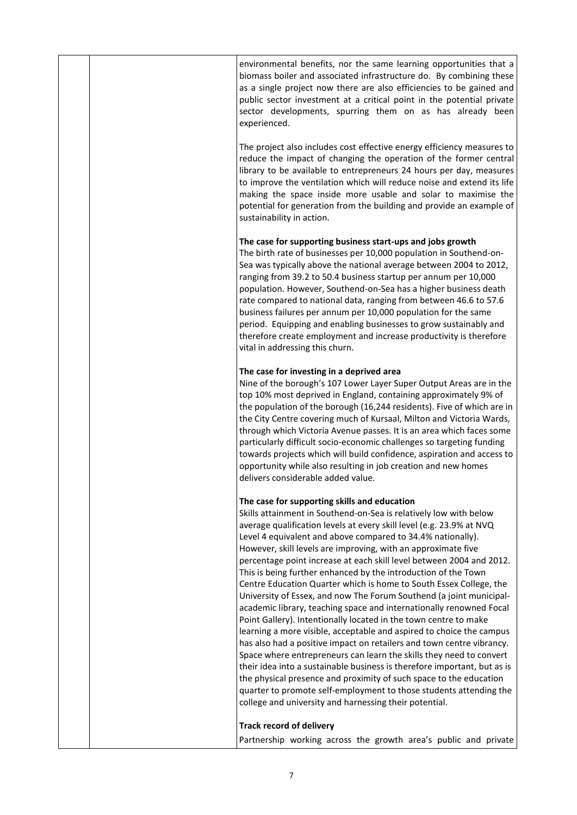|  | environmental benefits, nor the same learning opportunities that a<br>biomass boiler and associated infrastructure do. By combining these<br>as a single project now there are also efficiencies to be gained and<br>public sector investment at a critical point in the potential private<br>sector developments, spurring them on as has already been<br>experienced.                                                                                                                                                                                                                                                                                                                                                                                                                                                                                                                                                                                                                                                                                                                                                                                                                                                                                               |
|--|-----------------------------------------------------------------------------------------------------------------------------------------------------------------------------------------------------------------------------------------------------------------------------------------------------------------------------------------------------------------------------------------------------------------------------------------------------------------------------------------------------------------------------------------------------------------------------------------------------------------------------------------------------------------------------------------------------------------------------------------------------------------------------------------------------------------------------------------------------------------------------------------------------------------------------------------------------------------------------------------------------------------------------------------------------------------------------------------------------------------------------------------------------------------------------------------------------------------------------------------------------------------------|
|  | The project also includes cost effective energy efficiency measures to<br>reduce the impact of changing the operation of the former central<br>library to be available to entrepreneurs 24 hours per day, measures<br>to improve the ventilation which will reduce noise and extend its life<br>making the space inside more usable and solar to maximise the<br>potential for generation from the building and provide an example of<br>sustainability in action.                                                                                                                                                                                                                                                                                                                                                                                                                                                                                                                                                                                                                                                                                                                                                                                                    |
|  | The case for supporting business start-ups and jobs growth<br>The birth rate of businesses per 10,000 population in Southend-on-<br>Sea was typically above the national average between 2004 to 2012,<br>ranging from 39.2 to 50.4 business startup per annum per 10,000<br>population. However, Southend-on-Sea has a higher business death<br>rate compared to national data, ranging from between 46.6 to 57.6<br>business failures per annum per 10,000 population for the same<br>period. Equipping and enabling businesses to grow sustainably and<br>therefore create employment and increase productivity is therefore<br>vital in addressing this churn.                                                                                                                                                                                                                                                                                                                                                                                                                                                                                                                                                                                                    |
|  | The case for investing in a deprived area<br>Nine of the borough's 107 Lower Layer Super Output Areas are in the<br>top 10% most deprived in England, containing approximately 9% of<br>the population of the borough (16,244 residents). Five of which are in<br>the City Centre covering much of Kursaal, Milton and Victoria Wards,<br>through which Victoria Avenue passes. It is an area which faces some<br>particularly difficult socio-economic challenges so targeting funding<br>towards projects which will build confidence, aspiration and access to<br>opportunity while also resulting in job creation and new homes<br>delivers considerable added value.                                                                                                                                                                                                                                                                                                                                                                                                                                                                                                                                                                                             |
|  | The case for supporting skills and education<br>Skills attainment in Southend-on-Sea is relatively low with below<br>average qualification levels at every skill level (e.g. 23.9% at NVQ<br>Level 4 equivalent and above compared to 34.4% nationally).<br>However, skill levels are improving, with an approximate five<br>percentage point increase at each skill level between 2004 and 2012.<br>This is being further enhanced by the introduction of the Town<br>Centre Education Quarter which is home to South Essex College, the<br>University of Essex, and now The Forum Southend (a joint municipal-<br>academic library, teaching space and internationally renowned Focal<br>Point Gallery). Intentionally located in the town centre to make<br>learning a more visible, acceptable and aspired to choice the campus<br>has also had a positive impact on retailers and town centre vibrancy.<br>Space where entrepreneurs can learn the skills they need to convert<br>their idea into a sustainable business is therefore important, but as is<br>the physical presence and proximity of such space to the education<br>quarter to promote self-employment to those students attending the<br>college and university and harnessing their potential. |
|  | <b>Track record of delivery</b><br>Partnership working across the growth area's public and private                                                                                                                                                                                                                                                                                                                                                                                                                                                                                                                                                                                                                                                                                                                                                                                                                                                                                                                                                                                                                                                                                                                                                                    |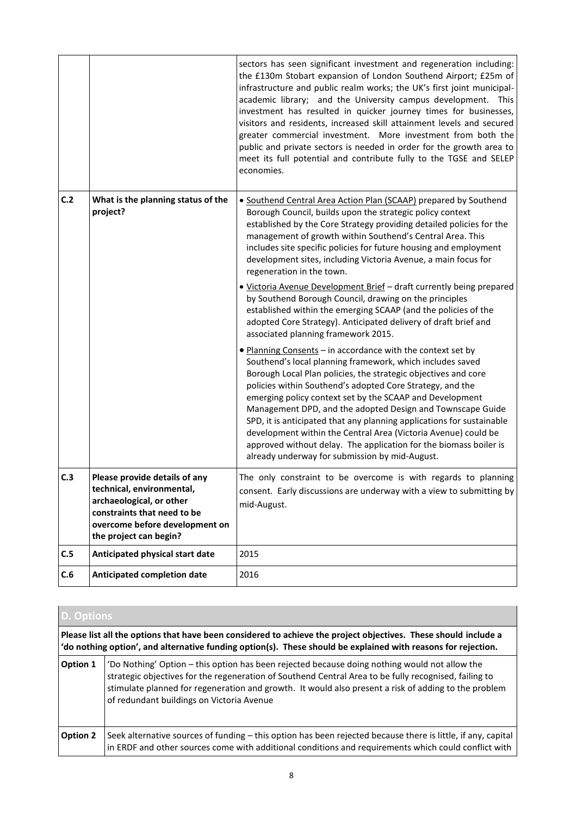|     |                                                                                                                                                                                   | sectors has seen significant investment and regeneration including:<br>the £130m Stobart expansion of London Southend Airport; £25m of<br>infrastructure and public realm works; the UK's first joint municipal-<br>academic library; and the University campus development.<br>This<br>investment has resulted in quicker journey times for businesses,<br>visitors and residents, increased skill attainment levels and secured<br>greater commercial investment. More investment from both the<br>public and private sectors is needed in order for the growth area to<br>meet its full potential and contribute fully to the TGSE and SELEP<br>economies. |
|-----|-----------------------------------------------------------------------------------------------------------------------------------------------------------------------------------|---------------------------------------------------------------------------------------------------------------------------------------------------------------------------------------------------------------------------------------------------------------------------------------------------------------------------------------------------------------------------------------------------------------------------------------------------------------------------------------------------------------------------------------------------------------------------------------------------------------------------------------------------------------|
| C.2 | What is the planning status of the<br>project?                                                                                                                                    | • Southend Central Area Action Plan (SCAAP) prepared by Southend<br>Borough Council, builds upon the strategic policy context<br>established by the Core Strategy providing detailed policies for the<br>management of growth within Southend's Central Area. This<br>includes site specific policies for future housing and employment<br>development sites, including Victoria Avenue, a main focus for<br>regeneration in the town.                                                                                                                                                                                                                        |
|     |                                                                                                                                                                                   | . Victoria Avenue Development Brief - draft currently being prepared<br>by Southend Borough Council, drawing on the principles<br>established within the emerging SCAAP (and the policies of the<br>adopted Core Strategy). Anticipated delivery of draft brief and<br>associated planning framework 2015.                                                                                                                                                                                                                                                                                                                                                    |
|     |                                                                                                                                                                                   | • Planning Consents - in accordance with the context set by<br>Southend's local planning framework, which includes saved<br>Borough Local Plan policies, the strategic objectives and core<br>policies within Southend's adopted Core Strategy, and the<br>emerging policy context set by the SCAAP and Development<br>Management DPD, and the adopted Design and Townscape Guide<br>SPD, it is anticipated that any planning applications for sustainable<br>development within the Central Area (Victoria Avenue) could be<br>approved without delay. The application for the biomass boiler is<br>already underway for submission by mid-August.           |
| C.3 | Please provide details of any<br>technical, environmental,<br>archaeological, or other<br>constraints that need to be<br>overcome before development on<br>the project can begin? | The only constraint to be overcome is with regards to planning<br>consent. Early discussions are underway with a view to submitting by<br>mid-August.                                                                                                                                                                                                                                                                                                                                                                                                                                                                                                         |
| C.5 | Anticipated physical start date                                                                                                                                                   | 2015                                                                                                                                                                                                                                                                                                                                                                                                                                                                                                                                                                                                                                                          |
| C.6 | <b>Anticipated completion date</b>                                                                                                                                                | 2016                                                                                                                                                                                                                                                                                                                                                                                                                                                                                                                                                                                                                                                          |

|                                                                                                                                                                                                                                  | D. Options                                                                                                                                                                                                                                                                                                                                                  |  |  |
|----------------------------------------------------------------------------------------------------------------------------------------------------------------------------------------------------------------------------------|-------------------------------------------------------------------------------------------------------------------------------------------------------------------------------------------------------------------------------------------------------------------------------------------------------------------------------------------------------------|--|--|
| Please list all the options that have been considered to achieve the project objectives. These should include a<br>'do nothing option', and alternative funding option(s). These should be explained with reasons for rejection. |                                                                                                                                                                                                                                                                                                                                                             |  |  |
| Option 1                                                                                                                                                                                                                         | 'Do Nothing' Option – this option has been rejected because doing nothing would not allow the<br>strategic objectives for the regeneration of Southend Central Area to be fully recognised, failing to<br>stimulate planned for regeneration and growth. It would also present a risk of adding to the problem<br>of redundant buildings on Victoria Avenue |  |  |
| Option 2                                                                                                                                                                                                                         | Seek alternative sources of funding - this option has been rejected because there is little, if any, capital<br>in ERDF and other sources come with additional conditions and requirements which could conflict with                                                                                                                                        |  |  |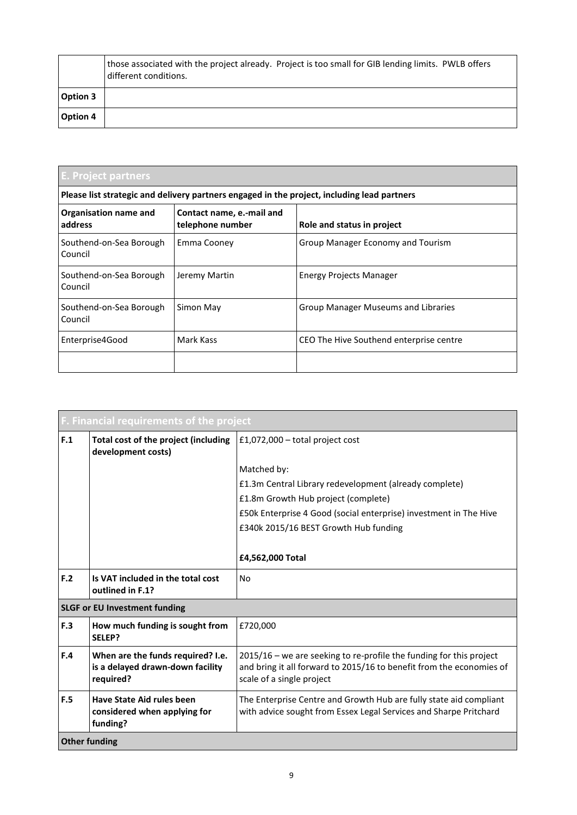|                 | those associated with the project already. Project is too small for GIB lending limits. PWLB offers<br>different conditions. |
|-----------------|------------------------------------------------------------------------------------------------------------------------------|
| <b>Option 3</b> |                                                                                                                              |
| Option 4        |                                                                                                                              |

| E. Project partners                                                                         |                                               |                                         |  |
|---------------------------------------------------------------------------------------------|-----------------------------------------------|-----------------------------------------|--|
| Please list strategic and delivery partners engaged in the project, including lead partners |                                               |                                         |  |
| Organisation name and<br>address                                                            | Contact name, e.-mail and<br>telephone number | Role and status in project              |  |
| Southend-on-Sea Borough<br>Council                                                          | Emma Cooney                                   | Group Manager Economy and Tourism       |  |
| Southend-on-Sea Borough<br>Council                                                          | Jeremy Martin                                 | <b>Energy Projects Manager</b>          |  |
| Southend-on-Sea Borough<br>Council                                                          | Simon May                                     | Group Manager Museums and Libraries     |  |
| Enterprise4Good                                                                             | Mark Kass                                     | CEO The Hive Southend enterprise centre |  |
|                                                                                             |                                               |                                         |  |

|     | <b>F. Financial requirements of the project</b>                                    |                                                                                                                                                                          |  |  |  |  |
|-----|------------------------------------------------------------------------------------|--------------------------------------------------------------------------------------------------------------------------------------------------------------------------|--|--|--|--|
| F.1 | Total cost of the project (including<br>development costs)                         | £1,072,000 – total project cost                                                                                                                                          |  |  |  |  |
|     |                                                                                    | Matched by:                                                                                                                                                              |  |  |  |  |
|     |                                                                                    | £1.3m Central Library redevelopment (already complete)                                                                                                                   |  |  |  |  |
|     |                                                                                    | £1.8m Growth Hub project (complete)                                                                                                                                      |  |  |  |  |
|     |                                                                                    | £50k Enterprise 4 Good (social enterprise) investment in The Hive                                                                                                        |  |  |  |  |
|     |                                                                                    | £340k 2015/16 BEST Growth Hub funding                                                                                                                                    |  |  |  |  |
|     |                                                                                    |                                                                                                                                                                          |  |  |  |  |
|     |                                                                                    | £4,562,000 Total                                                                                                                                                         |  |  |  |  |
| F.2 | Is VAT included in the total cost<br>outlined in F.1?                              | No                                                                                                                                                                       |  |  |  |  |
|     | <b>SLGF or EU Investment funding</b>                                               |                                                                                                                                                                          |  |  |  |  |
| F.3 | How much funding is sought from<br>SELEP?                                          | £720,000                                                                                                                                                                 |  |  |  |  |
| F.4 | When are the funds required? I.e.<br>is a delayed drawn-down facility<br>required? | 2015/16 - we are seeking to re-profile the funding for this project<br>and bring it all forward to 2015/16 to benefit from the economies of<br>scale of a single project |  |  |  |  |
| F.5 | <b>Have State Aid rules been</b><br>considered when applying for<br>funding?       | The Enterprise Centre and Growth Hub are fully state aid compliant<br>with advice sought from Essex Legal Services and Sharpe Pritchard                                  |  |  |  |  |
|     | <b>Other funding</b>                                                               |                                                                                                                                                                          |  |  |  |  |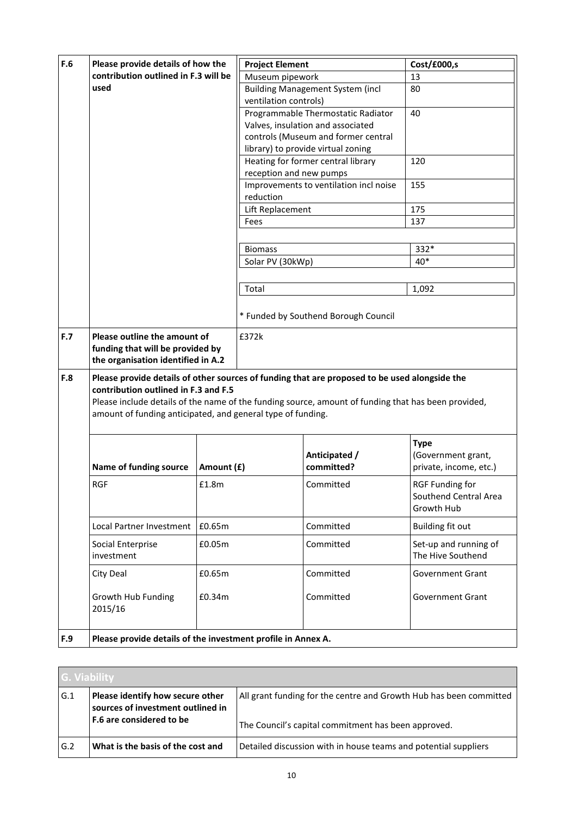| F.6 | Please provide details of how the                                                                                                                                                                                                                                                                           |            | <b>Project Element</b>  |                                                                           | Cost/£000,s                                            |  |  |  |
|-----|-------------------------------------------------------------------------------------------------------------------------------------------------------------------------------------------------------------------------------------------------------------------------------------------------------------|------------|-------------------------|---------------------------------------------------------------------------|--------------------------------------------------------|--|--|--|
|     | contribution outlined in F.3 will be                                                                                                                                                                                                                                                                        |            |                         | Museum pipework                                                           | 13                                                     |  |  |  |
|     | used                                                                                                                                                                                                                                                                                                        |            |                         | <b>Building Management System (incl</b>                                   | 80                                                     |  |  |  |
|     |                                                                                                                                                                                                                                                                                                             |            | ventilation controls)   |                                                                           |                                                        |  |  |  |
|     |                                                                                                                                                                                                                                                                                                             |            |                         | Programmable Thermostatic Radiator                                        | 40                                                     |  |  |  |
|     |                                                                                                                                                                                                                                                                                                             |            |                         | Valves, insulation and associated                                         |                                                        |  |  |  |
|     |                                                                                                                                                                                                                                                                                                             |            |                         | controls (Museum and former central<br>library) to provide virtual zoning |                                                        |  |  |  |
|     |                                                                                                                                                                                                                                                                                                             |            |                         | Heating for former central library                                        | 120                                                    |  |  |  |
|     |                                                                                                                                                                                                                                                                                                             |            | reception and new pumps |                                                                           |                                                        |  |  |  |
|     |                                                                                                                                                                                                                                                                                                             |            |                         | Improvements to ventilation incl noise                                    | 155                                                    |  |  |  |
|     |                                                                                                                                                                                                                                                                                                             |            | reduction               |                                                                           |                                                        |  |  |  |
|     |                                                                                                                                                                                                                                                                                                             |            | Lift Replacement        |                                                                           | 175                                                    |  |  |  |
|     |                                                                                                                                                                                                                                                                                                             |            | Fees                    |                                                                           | 137                                                    |  |  |  |
|     |                                                                                                                                                                                                                                                                                                             |            |                         |                                                                           |                                                        |  |  |  |
|     |                                                                                                                                                                                                                                                                                                             |            | <b>Biomass</b>          |                                                                           | 332*                                                   |  |  |  |
|     |                                                                                                                                                                                                                                                                                                             |            | Solar PV (30kWp)        |                                                                           | $40*$                                                  |  |  |  |
|     |                                                                                                                                                                                                                                                                                                             |            |                         |                                                                           |                                                        |  |  |  |
|     |                                                                                                                                                                                                                                                                                                             |            | Total                   |                                                                           | 1,092                                                  |  |  |  |
|     |                                                                                                                                                                                                                                                                                                             |            |                         |                                                                           |                                                        |  |  |  |
|     |                                                                                                                                                                                                                                                                                                             |            |                         | * Funded by Southend Borough Council                                      |                                                        |  |  |  |
| F.7 | Please outline the amount of                                                                                                                                                                                                                                                                                |            | £372k                   |                                                                           |                                                        |  |  |  |
|     | funding that will be provided by                                                                                                                                                                                                                                                                            |            |                         |                                                                           |                                                        |  |  |  |
|     | the organisation identified in A.2                                                                                                                                                                                                                                                                          |            |                         |                                                                           |                                                        |  |  |  |
| F.8 | Please provide details of other sources of funding that are proposed to be used alongside the<br>contribution outlined in F.3 and F.5<br>Please include details of the name of the funding source, amount of funding that has been provided,<br>amount of funding anticipated, and general type of funding. |            |                         |                                                                           |                                                        |  |  |  |
|     |                                                                                                                                                                                                                                                                                                             |            |                         |                                                                           | <b>Type</b>                                            |  |  |  |
|     |                                                                                                                                                                                                                                                                                                             |            |                         | Anticipated /                                                             | (Government grant,                                     |  |  |  |
|     | Name of funding source                                                                                                                                                                                                                                                                                      | Amount (£) |                         | committed?                                                                | private, income, etc.)                                 |  |  |  |
|     | <b>RGF</b>                                                                                                                                                                                                                                                                                                  | £1.8m      | Committed               |                                                                           | RGF Funding for<br>Southend Central Area<br>Growth Hub |  |  |  |
|     | Local Partner Investment E0.65m                                                                                                                                                                                                                                                                             |            |                         | Committed                                                                 | <b>Building fit out</b>                                |  |  |  |
|     | Social Enterprise<br>investment                                                                                                                                                                                                                                                                             | £0.05m     |                         | Committed                                                                 | Set-up and running of<br>The Hive Southend             |  |  |  |
|     | City Deal                                                                                                                                                                                                                                                                                                   | £0.65m     |                         | Committed                                                                 | Government Grant                                       |  |  |  |
|     | Growth Hub Funding<br>2015/16                                                                                                                                                                                                                                                                               | £0.34m     |                         | Committed                                                                 | Government Grant                                       |  |  |  |
| F.9 | Please provide details of the investment profile in Annex A.                                                                                                                                                                                                                                                |            |                         |                                                                           |                                                        |  |  |  |

|     | <b>G. Viability</b>                                                   |                                                                    |  |  |  |  |  |
|-----|-----------------------------------------------------------------------|--------------------------------------------------------------------|--|--|--|--|--|
| G.1 | Please identify how secure other<br>sources of investment outlined in | All grant funding for the centre and Growth Hub has been committed |  |  |  |  |  |
|     | F.6 are considered to be                                              | The Council's capital commitment has been approved.                |  |  |  |  |  |
| G.2 | What is the basis of the cost and                                     | Detailed discussion with in house teams and potential suppliers    |  |  |  |  |  |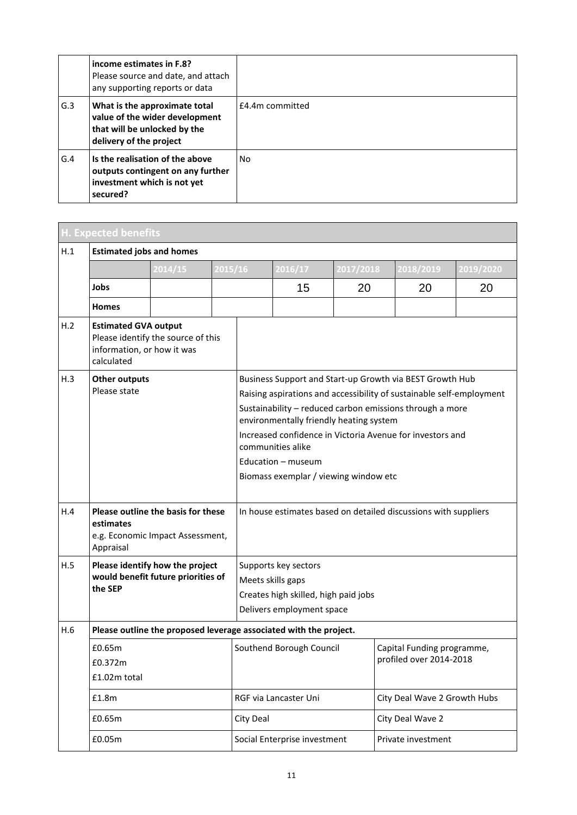|     | income estimates in F.8?<br>Please source and date, and attach<br>any supporting reports or data                           |                 |
|-----|----------------------------------------------------------------------------------------------------------------------------|-----------------|
| G.3 | What is the approximate total<br>value of the wider development<br>that will be unlocked by the<br>delivery of the project | £4.4m committed |
| G.4 | Is the realisation of the above<br>outputs contingent on any further<br>investment which is not yet<br>secured?            | N <sub>0</sub>  |

|     | <b>H. Expected benefits</b>                                                                                   |         |         |                                                                                                                                                                                                                                                                                                                                                                                          |                                                                   |           |                                                       |           |  |  |
|-----|---------------------------------------------------------------------------------------------------------------|---------|---------|------------------------------------------------------------------------------------------------------------------------------------------------------------------------------------------------------------------------------------------------------------------------------------------------------------------------------------------------------------------------------------------|-------------------------------------------------------------------|-----------|-------------------------------------------------------|-----------|--|--|
| H.1 | <b>Estimated jobs and homes</b>                                                                               |         |         |                                                                                                                                                                                                                                                                                                                                                                                          |                                                                   |           |                                                       |           |  |  |
|     |                                                                                                               | 2014/15 | 2015/16 |                                                                                                                                                                                                                                                                                                                                                                                          | 2016/17                                                           | 2017/2018 | 2018/2019                                             | 2019/2020 |  |  |
|     | Jobs                                                                                                          |         |         |                                                                                                                                                                                                                                                                                                                                                                                          | 15                                                                | 20        | 20                                                    | 20        |  |  |
|     | <b>Homes</b>                                                                                                  |         |         |                                                                                                                                                                                                                                                                                                                                                                                          |                                                                   |           |                                                       |           |  |  |
| H.2 | <b>Estimated GVA output</b><br>Please identify the source of this<br>information, or how it was<br>calculated |         |         |                                                                                                                                                                                                                                                                                                                                                                                          |                                                                   |           |                                                       |           |  |  |
| H.3 | <b>Other outputs</b><br>Please state                                                                          |         |         | Business Support and Start-up Growth via BEST Growth Hub<br>Raising aspirations and accessibility of sustainable self-employment<br>Sustainability - reduced carbon emissions through a more<br>environmentally friendly heating system<br>Increased confidence in Victoria Avenue for investors and<br>communities alike<br>Education - museum<br>Biomass exemplar / viewing window etc |                                                                   |           |                                                       |           |  |  |
| H.4 | Please outline the basis for these<br>estimates<br>e.g. Economic Impact Assessment,<br>Appraisal              |         |         | In house estimates based on detailed discussions with suppliers                                                                                                                                                                                                                                                                                                                          |                                                                   |           |                                                       |           |  |  |
| H.5 | Please identify how the project<br>would benefit future priorities of<br>the SEP                              |         |         | Supports key sectors<br>Meets skills gaps<br>Creates high skilled, high paid jobs<br>Delivers employment space                                                                                                                                                                                                                                                                           |                                                                   |           |                                                       |           |  |  |
| H.6 |                                                                                                               |         |         |                                                                                                                                                                                                                                                                                                                                                                                          | Please outline the proposed leverage associated with the project. |           |                                                       |           |  |  |
|     | £0.65m<br>£0.372m<br>£1.02m total                                                                             |         |         |                                                                                                                                                                                                                                                                                                                                                                                          | Southend Borough Council                                          |           | Capital Funding programme,<br>profiled over 2014-2018 |           |  |  |
|     | £1.8m                                                                                                         |         |         |                                                                                                                                                                                                                                                                                                                                                                                          | RGF via Lancaster Uni                                             |           | City Deal Wave 2 Growth Hubs                          |           |  |  |
|     | £0.65m                                                                                                        |         |         | City Deal                                                                                                                                                                                                                                                                                                                                                                                |                                                                   |           | City Deal Wave 2                                      |           |  |  |
|     | £0.05m                                                                                                        |         |         |                                                                                                                                                                                                                                                                                                                                                                                          | Social Enterprise investment                                      |           | Private investment                                    |           |  |  |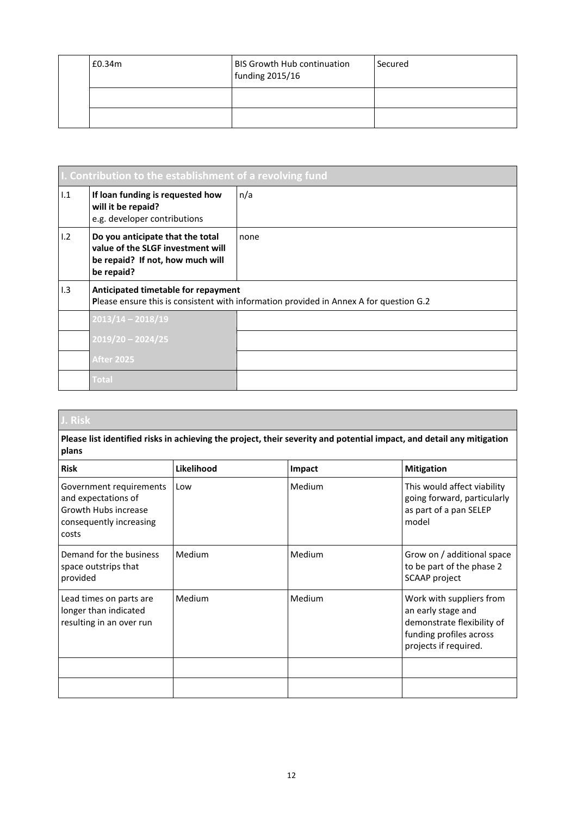| £0.34m | BIS Growth Hub continuation<br>funding 2015/16 | Secured |
|--------|------------------------------------------------|---------|
|        |                                                |         |
|        |                                                |         |

|     | I. Contribution to the establishment of a revolving fund                                                                |                                                                                        |  |  |  |  |  |  |
|-----|-------------------------------------------------------------------------------------------------------------------------|----------------------------------------------------------------------------------------|--|--|--|--|--|--|
| 1.1 | If loan funding is requested how<br>will it be repaid?<br>e.g. developer contributions                                  | n/a                                                                                    |  |  |  |  |  |  |
| 1.2 | Do you anticipate that the total<br>value of the SLGF investment will<br>be repaid? If not, how much will<br>be repaid? | none                                                                                   |  |  |  |  |  |  |
| 1.3 | Anticipated timetable for repayment                                                                                     | Please ensure this is consistent with information provided in Annex A for question G.2 |  |  |  |  |  |  |
|     | $2013/14 - 2018/19$                                                                                                     |                                                                                        |  |  |  |  |  |  |
|     | $2019/20 - 2024/25$                                                                                                     |                                                                                        |  |  |  |  |  |  |
|     | <b>After 2025</b>                                                                                                       |                                                                                        |  |  |  |  |  |  |
|     | <b>Total</b>                                                                                                            |                                                                                        |  |  |  |  |  |  |

**Please list identified risks in achieving the project, their severity and potential impact, and detail any mitigation plans**

| <b>Risk</b>                                                                                                | Likelihood | Impact | <b>Mitigation</b>                                                                                                                |
|------------------------------------------------------------------------------------------------------------|------------|--------|----------------------------------------------------------------------------------------------------------------------------------|
| Government requirements<br>and expectations of<br>Growth Hubs increase<br>consequently increasing<br>costs | Low        | Medium | This would affect viability<br>going forward, particularly<br>as part of a pan SELEP<br>model                                    |
| Demand for the business<br>space outstrips that<br>provided                                                | Medium     | Medium | Grow on / additional space<br>to be part of the phase 2<br>SCAAP project                                                         |
| Lead times on parts are<br>longer than indicated<br>resulting in an over run                               | Medium     | Medium | Work with suppliers from<br>an early stage and<br>demonstrate flexibility of<br>funding profiles across<br>projects if required. |
|                                                                                                            |            |        |                                                                                                                                  |
|                                                                                                            |            |        |                                                                                                                                  |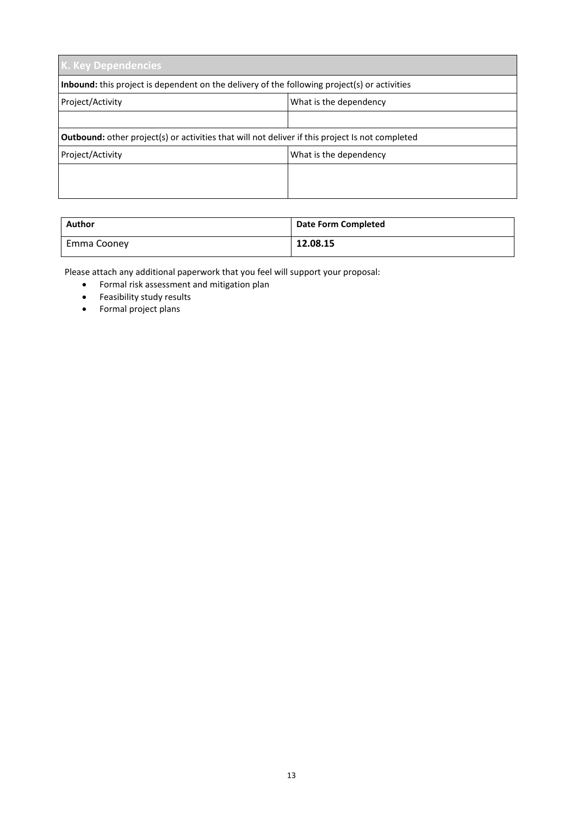| <b>K. Key Dependencies</b>                                                                             |                        |  |  |  |  |  |  |
|--------------------------------------------------------------------------------------------------------|------------------------|--|--|--|--|--|--|
| Inbound: this project is dependent on the delivery of the following project(s) or activities           |                        |  |  |  |  |  |  |
| Project/Activity                                                                                       | What is the dependency |  |  |  |  |  |  |
|                                                                                                        |                        |  |  |  |  |  |  |
| <b>Outbound:</b> other project(s) or activities that will not deliver if this project Is not completed |                        |  |  |  |  |  |  |
| Project/Activity                                                                                       | What is the dependency |  |  |  |  |  |  |
|                                                                                                        |                        |  |  |  |  |  |  |
|                                                                                                        |                        |  |  |  |  |  |  |

| Author      | <b>Date Form Completed</b> |
|-------------|----------------------------|
| Emma Cooney | 12.08.15                   |

Please attach any additional paperwork that you feel will support your proposal:

- Formal risk assessment and mitigation plan
- **•** Feasibility study results
- Formal project plans